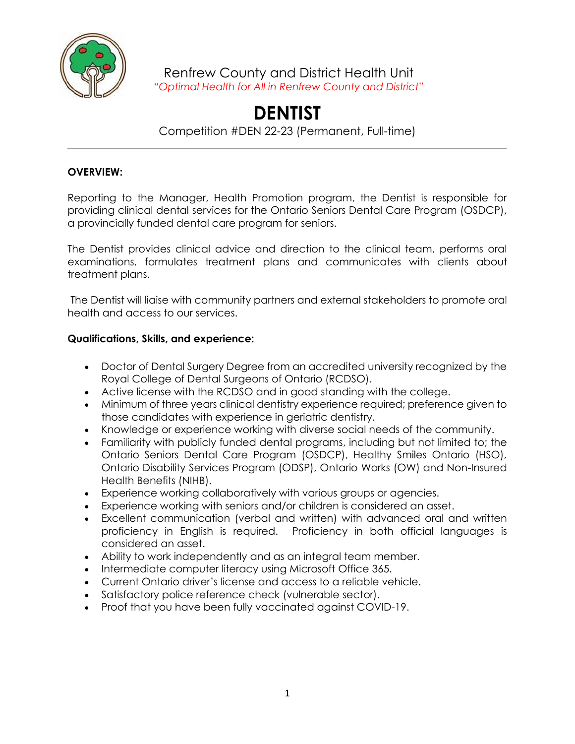

Renfrew County and District Health Unit *"Optimal Health for All in Renfrew County and District"*

## **DENTIST**

Competition #DEN 22-23 (Permanent, Full-time)

## **OVERVIEW:**

Reporting to the Manager, Health Promotion program, the Dentist is responsible for providing clinical dental services for the Ontario Seniors Dental Care Program (OSDCP), a provincially funded dental care program for seniors.

The Dentist provides clinical advice and direction to the clinical team, performs oral examinations, formulates treatment plans and communicates with clients about treatment plans.

The Dentist will liaise with community partners and external stakeholders to promote oral health and access to our services.

## **Qualifications, Skills, and experience:**

- Doctor of Dental Surgery Degree from an accredited university recognized by the Royal College of Dental Surgeons of Ontario (RCDSO).
- Active license with the RCDSO and in good standing with the college.
- Minimum of three years clinical dentistry experience required; preference given to those candidates with experience in geriatric dentistry.
- Knowledge or experience working with diverse social needs of the community.
- Familiarity with publicly funded dental programs, including but not limited to; the Ontario Seniors Dental Care Program (OSDCP), Healthy Smiles Ontario (HSO), Ontario Disability Services Program (ODSP), Ontario Works (OW) and Non-Insured Health Benefits (NIHB).
- Experience working collaboratively with various groups or agencies.
- Experience working with seniors and/or children is considered an asset.
- Excellent communication (verbal and written) with advanced oral and written proficiency in English is required. Proficiency in both official languages is considered an asset.
- Ability to work independently and as an integral team member.
- Intermediate computer literacy using Microsoft Office 365.
- Current Ontario driver's license and access to a reliable vehicle.
- Satisfactory police reference check (vulnerable sector).
- Proof that you have been fully vaccinated against COVID-19.